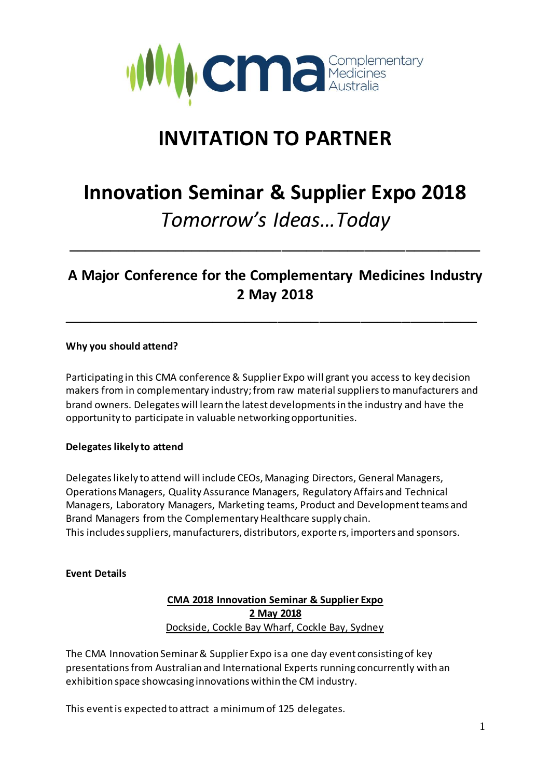

# **INVITATION TO PARTNER**

# **Innovation Seminar & Supplier Expo 2018** *Tomorrow's Ideas…Today*

# **A Major Conference for the Complementary Medicines Industry 2 May 2018**

\_\_\_\_\_\_\_\_\_\_\_\_\_\_\_\_\_\_\_\_\_\_\_\_\_\_\_\_\_\_\_\_\_\_\_\_\_\_\_\_\_\_\_\_\_\_\_\_\_\_

\_\_\_\_\_\_\_\_\_\_\_\_\_\_\_\_\_\_\_\_\_\_\_\_\_\_\_\_\_\_\_\_\_\_\_\_\_\_\_\_\_\_\_\_\_\_\_\_\_\_

#### **Why you should attend?**

Participating in this CMA conference & Supplier Expo will grant you access to key decision makers from in complementary industry; from raw material suppliers to manufacturers and brand owners. Delegates will learn the latest developments in the industry and have the opportunity to participate in valuable networking opportunities.

# **Delegates likely to attend**

Delegateslikely to attend will include CEOs, Managing Directors, General Managers, Operations Managers, Quality Assurance Managers, Regulatory Affairs and Technical Managers, Laboratory Managers, Marketing teams, Product and Development teams and Brand Managers from the Complementary Healthcare supply chain. This includes suppliers, manufacturers, distributors, exporters, importers and sponsors.

#### **Event Details**

**CMA 2018 Innovation Seminar & Supplier Expo 2 May 2018** Dockside, Cockle Bay Wharf, Cockle Bay, Sydney

The CMA Innovation Seminar & Supplier Expo is a one day event consisting of key presentations from Australian and International Experts running concurrently with an exhibition space showcasing innovations within the CM industry.

This event is expected to attract a minimum of 125 delegates.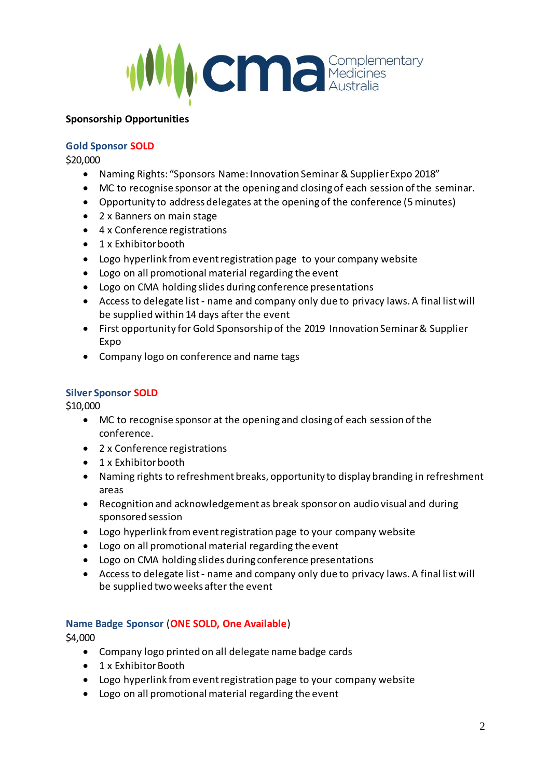

#### **Sponsorship Opportunities**

### **Gold Sponsor SOLD**

\$20,000

- Naming Rights: "Sponsors Name: Innovation Seminar & Supplier Expo 2018"
- MC to recognise sponsor at the opening and closing of each session of the seminar.
- Opportunity to address delegates at the opening of the conference (5 minutes)
- 2 x Banners on main stage
- 4 x Conference registrations
- 1 x Exhibitor booth
- Logo hyperlink from event registration page to your company website
- Logo on all promotional material regarding the event
- Logo on CMA holding slides during conference presentations
- Access to delegate list name and company only due to privacy laws. A final list will be supplied within 14 days after the event
- First opportunity for Gold Sponsorship of the 2019 Innovation Seminar & Supplier Expo
- Company logo on conference and name tags

# **Silver Sponsor SOLD**

\$10,000

- MC to recognise sponsor at the opening and closing of each session of the conference.
- 2 x Conference registrations
- 1 x Exhibitor booth
- Naming rights to refreshment breaks, opportunity to display branding in refreshment areas
- Recognition and acknowledgement as break sponsor on audio visual and during sponsored session
- Logo hyperlink from event registration page to your company website
- Logo on all promotional material regarding the event
- Logo on CMA holding slides during conference presentations
- Access to delegate list name and company only due to privacy laws. A final list will be supplied two weeks after the event

# **Name Badge Sponsor** (**ONE SOLD, One Available**)

\$4,000

- Company logo printed on all delegate name badge cards
- 1 x Exhibitor Booth
- Logo hyperlink from event registration page to your company website
- Logo on all promotional material regarding the event